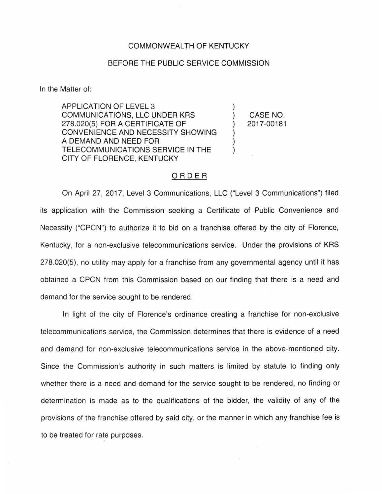## COMMONWEALTH OF KENTUCKY

## BEFORE THE PUBLIC SERVICE COMMISSION

In the Matter of:

APPLICATION OF LEVEL 3 COMMUNICATIONS, LLC UNDER KRS 278.020(5) FOR A CERTIFICATE OF CONVENIENCE AND NECESSITY SHOWING A DEMAND AND NEED FOR TELECOMMUNICATIONS SERVICE IN THE CITY OF FLORENCE, KENTUCKY

) CASE NO. ) 2017-00181

)

) ) )

## ORDER

On April 27, 2017, Level 3 Communications, LLC ("Level 3 Communications") filed its application with the Commission seeking a Certificate of Public Convenience and Necessity ("CPCN") to authorize it to bid on a franchise offered by the city of Florence, Kentucky, for a non-exclusive telecommunications service. Under the provisions of KRS 278.020(5), no utility may apply for a franchise from any governmental agency until it has obtained a CPCN from this Commission based on our finding that there is a need and demand for the service sought to be rendered.

In light of the city of Florence's ordinance creating a franchise for non-exclusive telecommunications service, the Commission determines that there is evidence of a need and demand for non-exclusive telecommunications service in the above-mentioned city. Since the Commission's authority in such matters is limited by statute to finding only whether there is a need and demand for the service sought to be rendered, no finding or determination is made as to the qualifications of the bidder, the validity of any of the provisions of the franchise offered by said city, or the manner in which any franchise fee is to be treated for rate purposes.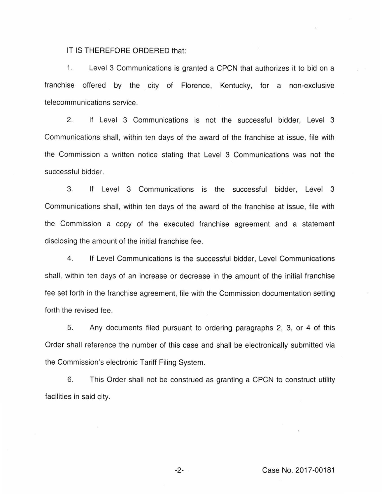IT IS THEREFORE ORDERED that:

1. Level 3 Communications is granted a CPCN that authorizes it to bid on a franchise offered by the city of Florence, Kentucky, for a non-exclusive telecommunications service.

2. If Level 3 Communications is not the successful bidder, Level 3 Communications shall, within ten days of the award of the franchise at issue, file with the Commission a written notice stating that Level 3 Communications was not the successful bidder.

3. If Level 3 Communications is the successful bidder, Level 3 Communications shall, within ten days of the award of the franchise at issue, file with the Commission a copy of the executed franchise agreement and a statement disclosing the amount of the initial franchise fee.

4. If Level Communications is the successful bidder, Level Communications shall, within ten days of an increase or decrease in the amount of the initial franchise fee set forth in the franchise agreement, file with the Commission documentation setting forth the revised fee.

5. Any documents filed pursuant to ordering paragraphs 2, 3, or 4 of this Order shall reference the number of this case and shall be electronically submitted via the Commission's electronic Tariff Filing System.

6. This Order shall not be construed as granting a CPCN to construct utility facilities in said city.

-2- Case No. 2017-00181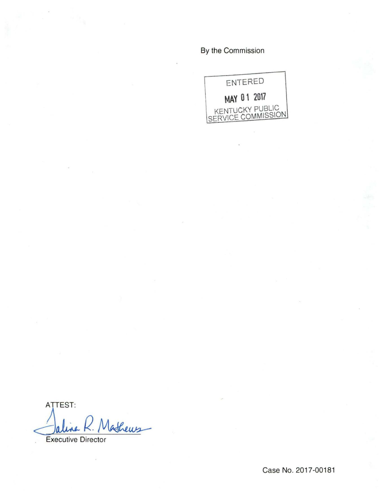By the Commission



**ATTEST:** Mathews- $\boldsymbol{\mathsf{h}}$ 

**Executive Director** 

Case No. 2017-00181